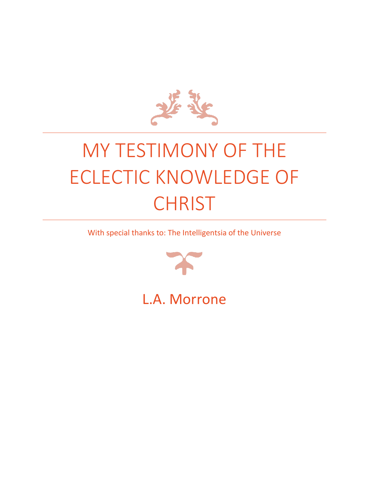

## MY TESTIMONY OF THE ECLECTIC KNOWLEDGE OF **CHRIST**

With special thanks to: The Intelligentsia of the Universe



L.A. Morrone